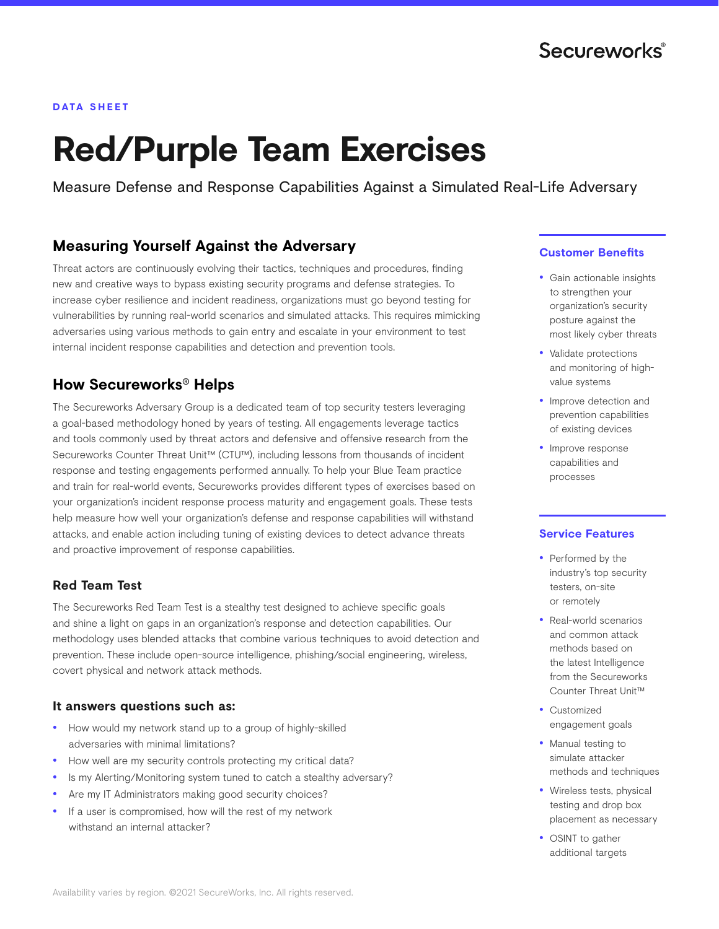## **DATA SHEET**

# **Red/Purple Team Exercises**

Measure Defense and Response Capabilities Against a Simulated Real-Life Adversary

# **Measuring Yourself Against the Adversary**

Threat actors are continuously evolving their tactics, techniques and procedures, finding new and creative ways to bypass existing security programs and defense strategies. To increase cyber resilience and incident readiness, organizations must go beyond testing for vulnerabilities by running real-world scenarios and simulated attacks. This requires mimicking adversaries using various methods to gain entry and escalate in your environment to test internal incident response capabilities and detection and prevention tools.

# **How Secureworks® Helps**

The Secureworks Adversary Group is a dedicated team of top security testers leveraging a goal-based methodology honed by years of testing. All engagements leverage tactics and tools commonly used by threat actors and defensive and offensive research from the Secureworks Counter Threat Unit™ (CTU™), including lessons from thousands of incident response and testing engagements performed annually. To help your Blue Team practice and train for real-world events, Secureworks provides different types of exercises based on your organization's incident response process maturity and engagement goals. These tests help measure how well your organization's defense and response capabilities will withstand attacks, and enable action including tuning of existing devices to detect advance threats and proactive improvement of response capabilities.

# **Red Team Test**

The Secureworks Red Team Test is a stealthy test designed to achieve specific goals and shine a light on gaps in an organization's response and detection capabilities. Our methodology uses blended attacks that combine various techniques to avoid detection and prevention. These include open-source intelligence, phishing/social engineering, wireless, covert physical and network attack methods.

# **It answers questions such as:**

- How would my network stand up to a group of highly-skilled adversaries with minimal limitations?
- How well are my security controls protecting my critical data?
- Is my Alerting/Monitoring system tuned to catch a stealthy adversary?
- Are my IT Administrators making good security choices?
- If a user is compromised, how will the rest of my network withstand an internal attacker?

# **Customer Benefits**

- Gain actionable insights to strengthen your organization's security posture against the most likely cyber threats
- Validate protections and monitoring of highvalue systems
- Improve detection and prevention capabilities of existing devices
- Improve response capabilities and processes

# **Service Features**

- Performed by the industry's top security testers, on-site or remotely
- Real-world scenarios and common attack methods based on the latest Intelligence from the Secureworks Counter Threat Unit™
- Customized engagement goals
- Manual testing to simulate attacker methods and techniques
- Wireless tests, physical testing and drop box placement as necessary
- OSINT to gather additional targets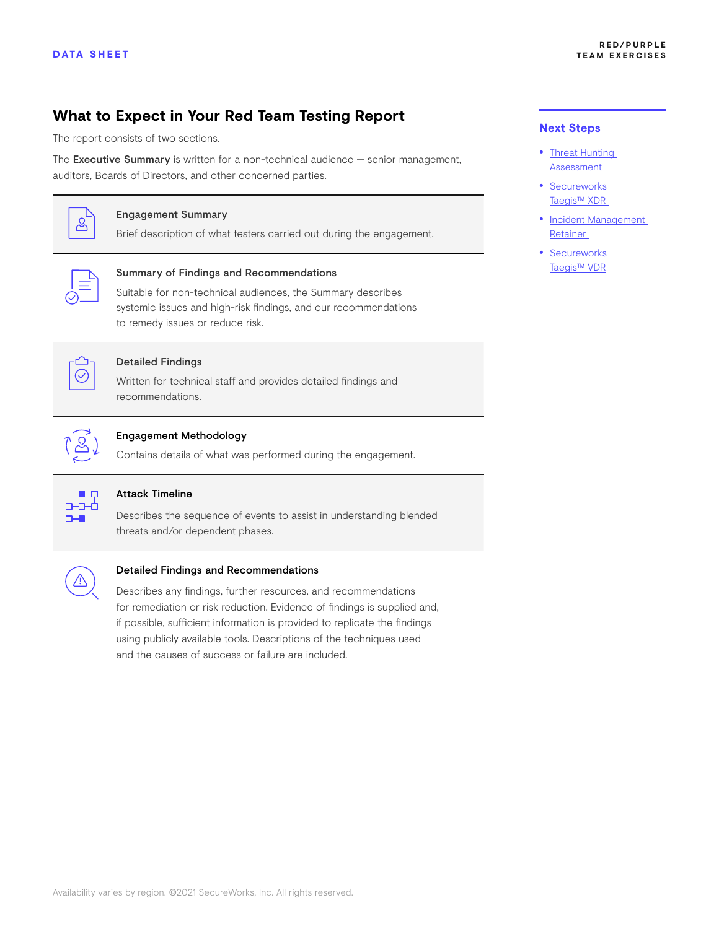# **What to Expect in Your Red Team Testing Report**

The report consists of two sections.

The Executive Summary is written for a non-technical audience - senior management, auditors, Boards of Directors, and other concerned parties.



# Engagement Summary

Brief description of what testers carried out during the engagement.



#### Summary of Findings and Recommendations

Suitable for non-technical audiences, the Summary describes systemic issues and high-risk findings, and our recommendations to remedy issues or reduce risk.



# Detailed Findings

Written for technical staff and provides detailed findings and recommendations.



#### Engagement Methodology

Contains details of what was performed during the engagement.



#### Attack Timeline

Describes the sequence of events to assist in understanding blended threats and/or dependent phases.



#### Detailed Findings and Recommendations

Describes any findings, further resources, and recommendations for remediation or risk reduction. Evidence of findings is supplied and, if possible, sufficient information is provided to replicate the findings using publicly available tools. Descriptions of the techniques used and the causes of success or failure are included.

### **Next Steps**

- [Threat Hunting](https://www.secureworks.com/services/incident-response/threat-hunting-assessment
)  [Assessment](https://www.secureworks.com/services/incident-response/threat-hunting-assessment
)
- [Secureworks](https://www.secureworks.com/products/taegis/xdr)  [Taegis™ XDR](https://www.secureworks.com/products/taegis/xdr)
- [Incident Management](https://www.secureworks.com/services/incident-response/incident-management-retainer)  [Retainer](https://www.secureworks.com/services/incident-response/incident-management-retainer)
- [Secureworks](https://www.secureworks.com/products/taegis/vdr)  [Taegis™ VDR](https://www.secureworks.com/products/taegis/vdr)